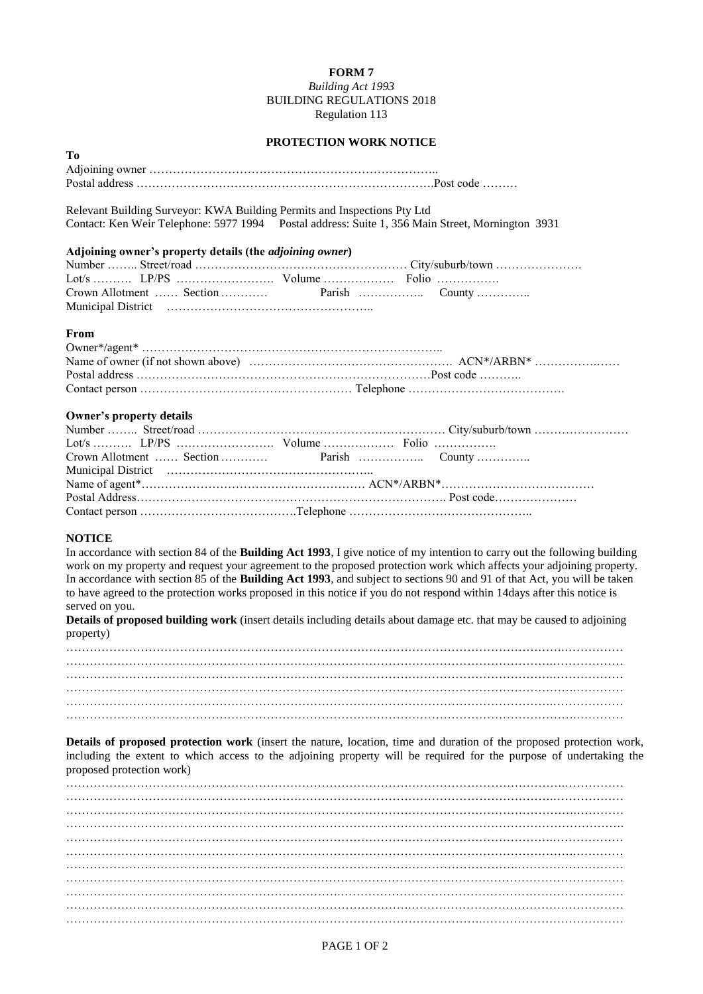## **FORM 7**

*Building Act 1993* BUILDING REGULATIONS 2018 Regulation 113

## **PROTECTION WORK NOTICE**

| -- |  |
|----|--|
|    |  |
|    |  |

Relevant Building Surveyor: KWA Building Permits and Inspections Pty Ltd Contact: Ken Weir Telephone: 5977 1994 Postal address: Suite 1, 356 Main Street, Mornington 3931

### **Adjoining owner's property details (the** *adjoining owner***)**

#### **From**

**To**

### **Owner's property details**

# **NOTICE**

In accordance with section 84 of the **Building Act 1993**, I give notice of my intention to carry out the following building work on my property and request your agreement to the proposed protection work which affects your adjoining property. In accordance with section 85 of the **Building Act 1993**, and subject to sections 90 and 91 of that Act, you will be taken to have agreed to the protection works proposed in this notice if you do not respond within 14days after this notice is served on you.

**Details of proposed building work** (insert details including details about damage etc. that may be caused to adjoining property)

……………………………………………………………………………………………………………….…………… …………………………………………………………………………………………………………….……………… …………………………………………………………………………………………………………….……………… ………………………………………………………………………………………………………………….………… …………………………………………………………………………………………………………….……………… ………………………………………………………………………………………………………………….…………

**Details of proposed protection work** (insert the nature, location, time and duration of the proposed protection work, including the extent to which access to the adjoining property will be required for the purpose of undertaking the proposed protection work)

……………………………………………………………………………………………………………….…………… …………………………………………………………………………………………………………….……………… ………………………………………………………………………………………………………………….………… ……………………………………………………………………………………………………………………………. …………………………………………………………………………………………………………….……………… ………………………………………………………………………………………………………………….………… . The contract of the contract of the contract of the contract of the contract of the contract of the contract of the contract of the contract of the contract of the contract of the contract of the contract of the contrac …………………………………………….……………………………………………………………………………… …………………………………………………………….……………………………………………………………… . The contract of the contract of the contract of the contract of the contract of the contract of the contract of the contract of the contract of the contract of the contract of the contract of the contract of the contrac …………………………………………………………………………………………….………………………………